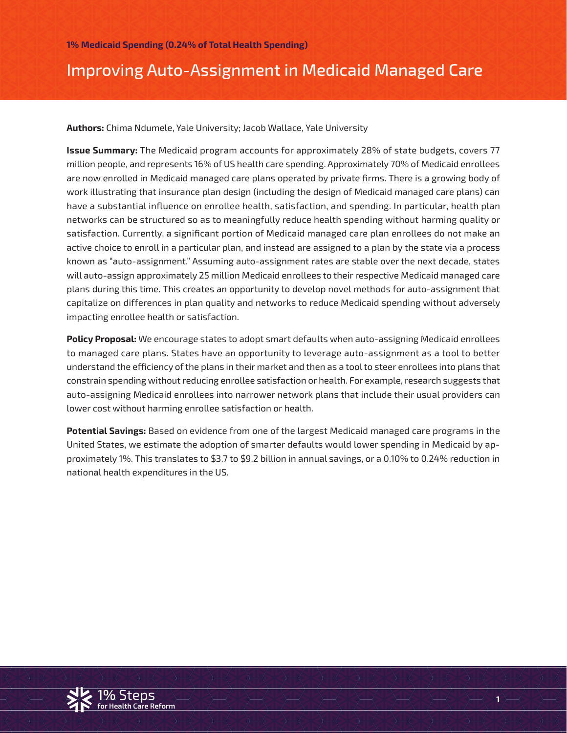## Improving Auto-Assignment in Medicaid Managed Care

**Authors:** Chima Ndumele, Yale University; Jacob Wallace, Yale University

**Issue Summary:** The Medicaid program accounts for approximately 28% of state budgets, covers 77 million people, and represents 16% of US health care spending. Approximately 70% of Medicaid enrollees are now enrolled in Medicaid managed care plans operated by private firms. There is a growing body of work illustrating that insurance plan design (including the design of Medicaid managed care plans) can have a substantial influence on enrollee health, satisfaction, and spending. In particular, health plan networks can be structured so as to meaningfully reduce health spending without harming quality or satisfaction. Currently, a significant portion of Medicaid managed care plan enrollees do not make an active choice to enroll in a particular plan, and instead are assigned to a plan by the state via a process known as "auto-assignment." Assuming auto-assignment rates are stable over the next decade, states will auto-assign approximately 25 million Medicaid enrollees to their respective Medicaid managed care plans during this time. This creates an opportunity to develop novel methods for auto-assignment that capitalize on differences in plan quality and networks to reduce Medicaid spending without adversely impacting enrollee health or satisfaction.

**Policy Proposal:** We encourage states to adopt smart defaults when auto-assigning Medicaid enrollees to managed care plans. States have an opportunity to leverage auto-assignment as a tool to better understand the efficiency of the plans in their market and then as a tool to steer enrollees into plans that constrain spending without reducing enrollee satisfaction or health. For example, research suggests that auto-assigning Medicaid enrollees into narrower network plans that include their usual providers can lower cost without harming enrollee satisfaction or health.

**Potential Savings:** Based on evidence from one of the largest Medicaid managed care programs in the United States, we estimate the adoption of smarter defaults would lower spending in Medicaid by approximately 1%. This translates to \$3.7 to \$9.2 billion in annual savings, or a 0.10% to 0.24% reduction in national health expenditures in the US.

**1**

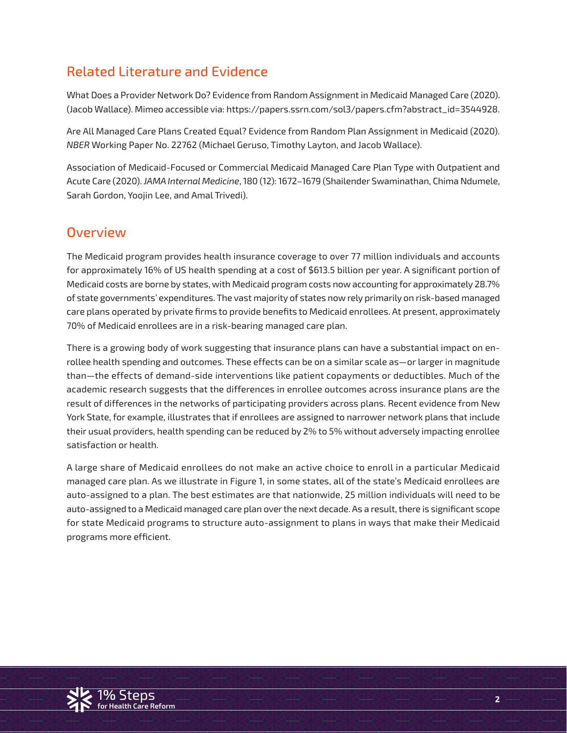### Related Literature and Evidence

What Does a Provider Network Do? Evidence from Random Assignment in Medicaid Managed Care (2020). (Jacob Wallace). Mimeo accessible via: https://papers.ssrn.com/sol3/papers.cfm?abstract\_id=3544928.

Are All Managed Care Plans Created Equal? Evidence from Random Plan Assignment in Medicaid (2020). *NBER* Working Paper No. 22762 (Michael Geruso, Timothy Layton, and Jacob Wallace).

Association of Medicaid-Focused or Commercial Medicaid Managed Care Plan Type with Outpatient and Acute Care (2020). *JAMA Internal Medicine*, 180 (12): 1672–1679 (Shailender Swaminathan, Chima Ndumele, Sarah Gordon, Yoojin Lee, and Amal Trivedi).

### **Overview**

The Medicaid program provides health insurance coverage to over 77 million individuals and accounts for approximately 16% of US health spending at a cost of \$613.5 billion per year. A significant portion of Medicaid costs are borne by states, with Medicaid program costs now accounting for approximately 28.7% of state governments' expenditures. The vast majority of states now rely primarily on risk-based managed care plans operated by private firms to provide benefits to Medicaid enrollees. At present, approximately 70% of Medicaid enrollees are in a risk-bearing managed care plan.

There is a growing body of work suggesting that insurance plans can have a substantial impact on enrollee health spending and outcomes. These effects can be on a similar scale as—or larger in magnitude than—the effects of demand-side interventions like patient copayments or deductibles. Much of the academic research suggests that the differences in enrollee outcomes across insurance plans are the result of differences in the networks of participating providers across plans. Recent evidence from New York State, for example, illustrates that if enrollees are assigned to narrower network plans that include their usual providers, health spending can be reduced by 2% to 5% without adversely impacting enrollee satisfaction or health.

A large share of Medicaid enrollees do not make an active choice to enroll in a particular Medicaid managed care plan. As we illustrate in Figure 1, in some states, all of the state's Medicaid enrollees are auto-assigned to a plan. The best estimates are that nationwide, 25 million individuals will need to be auto-assigned to a Medicaid managed care plan over the next decade. As a result, there is significant scope for state Medicaid programs to structure auto-assignment to plans in ways that make their Medicaid programs more efficient.

**2**

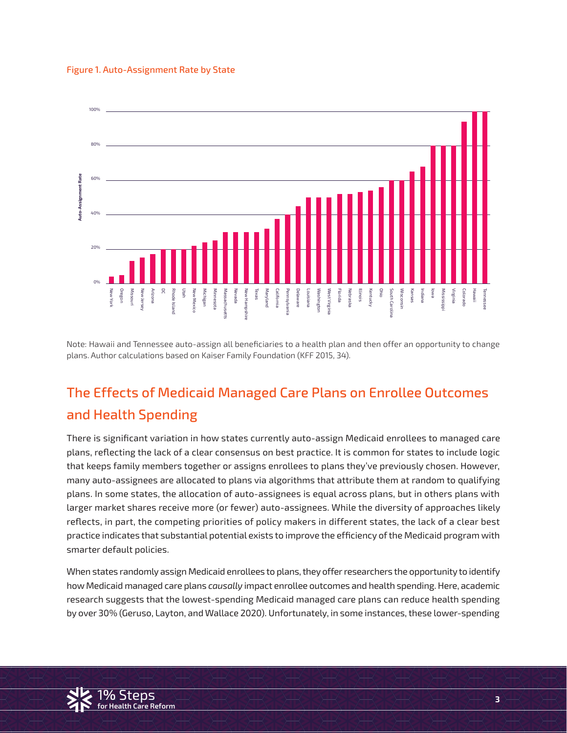#### Figure 1. Auto-Assignment Rate by State



Note: Hawaii and Tennessee auto-assign all beneficiaries to a health plan and then offer an opportunity to change plans. Author calculations based on Kaiser Family Foundation (KFF 2015, 34).

# The Effects of Medicaid Managed Care Plans on Enrollee Outcomes and Health Spending

There is significant variation in how states currently auto-assign Medicaid enrollees to managed care plans, reflecting the lack of a clear consensus on best practice. It is common for states to include logic that keeps family members together or assigns enrollees to plans they've previously chosen. However, many auto-assignees are allocated to plans via algorithms that attribute them at random to qualifying plans. In some states, the allocation of auto-assignees is equal across plans, but in others plans with larger market shares receive more (or fewer) auto-assignees. While the diversity of approaches likely reflects, in part, the competing priorities of policy makers in different states, the lack of a clear best practice indicates that substantial potential exists to improve the efficiency of the Medicaid program with smarter default policies.

now medicald managed care plans causally impact enrolled bateomes and neath spending. Here, academic<br>research suggests that the lowest-spending Medicaid managed care plans can reduce health spending by over 30% (Geruso, Layton, and Wallace 2020). Unfortunately, in some instances, these lower-spending When states randomly assign Medicaid enrollees to plans, they offer researchers the opportunity to identify how Medicaid managed care plans *causally* impact enrollee outcomes and health spending. Here, academic



**.**<br>Ire Reform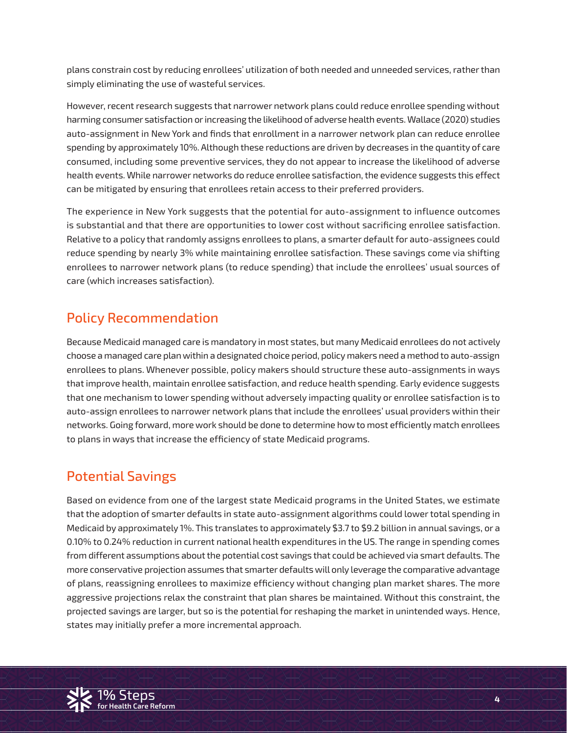plans constrain cost by reducing enrollees' utilization of both needed and unneeded services, rather than simply eliminating the use of wasteful services.

However, recent research suggests that narrower network plans could reduce enrollee spending without harming consumer satisfaction or increasing the likelihood of adverse health events. Wallace (2020) studies auto-assignment in New York and finds that enrollment in a narrower network plan can reduce enrollee spending by approximately 10%. Although these reductions are driven by decreases in the quantity of care consumed, including some preventive services, they do not appear to increase the likelihood of adverse health events. While narrower networks do reduce enrollee satisfaction, the evidence suggests this effect can be mitigated by ensuring that enrollees retain access to their preferred providers.

The experience in New York suggests that the potential for auto-assignment to influence outcomes is substantial and that there are opportunities to lower cost without sacrificing enrollee satisfaction. Relative to a policy that randomly assigns enrollees to plans, a smarter default for auto-assignees could reduce spending by nearly 3% while maintaining enrollee satisfaction. These savings come via shifting enrollees to narrower network plans (to reduce spending) that include the enrollees' usual sources of care (which increases satisfaction).

### Policy Recommendation

Because Medicaid managed care is mandatory in most states, but many Medicaid enrollees do not actively choose a managed care plan within a designated choice period, policy makers need a method to auto-assign enrollees to plans. Whenever possible, policy makers should structure these auto-assignments in ways that improve health, maintain enrollee satisfaction, and reduce health spending. Early evidence suggests that one mechanism to lower spending without adversely impacting quality or enrollee satisfaction is to auto-assign enrollees to narrower network plans that include the enrollees' usual providers within their networks. Going forward, more work should be done to determine how to most efficiently match enrollees to plans in ways that increase the efficiency of state Medicaid programs.

### Potential Savings

aggressive projections relax the constraint that plan shares be maintained. Without this constraint, the projected savings are larger, but so is the potential for reshaping the market in unintended ways. Hence, Based on evidence from one of the largest state Medicaid programs in the United States, we estimate that the adoption of smarter defaults in state auto-assignment algorithms could lower total spending in Medicaid by approximately 1%. This translates to approximately \$3.7 to \$9.2 billion in annual savings, or a 0.10% to 0.24% reduction in current national health expenditures in the US. The range in spending comes from different assumptions about the potential cost savings that could be achieved via smart defaults. The more conservative projection assumes that smarter defaults will only leverage the comparative advantage of plans, reassigning enrollees to maximize efficiency without changing plan market shares. The more states may initially prefer a more incremental approach.